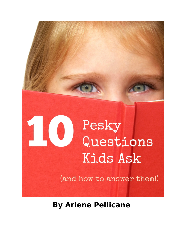

**By Arlene Pellicane**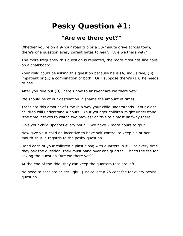# **Pesky Question #1:**

#### **"Are we there yet?"**

Whether you're on a 9-hour road trip or a 30-minute drive across town, there's one question every parent hates to hear. "*Are we there yet?"*

The more frequently this question is repeated, the more it sounds like nails on a chalkboard.

Your child could be asking this question because he is (A) inquisitive, (B) impatient or (C) a combination of both. Or I suppose there's (D); he needs to pee.

After you rule out (D), here's how to answer "*Are we there yet?":*

We should be at our destination in (name the amount of time).

Translate this amount of time in a way your child understands. Your older children will understand 4 hours. Your younger children might understand "the time it takes to watch two movies" or "We're almost halfway there."

Give your child updates every hour. "We have 2 more hours to go."

Now give your child an incentive to have self-control to keep his or her mouth shut in regards to the pesky question.

Hand each of your children a plastic bag with quarters in it. For every time they ask the question, they must hand over one quarter. That's the fee for asking the question "*Are we there yet?"*

At the end of the ride, they can keep the quarters that are left.

No need to escalate or get ugly. Just collect a 25 cent fee for every pesky question.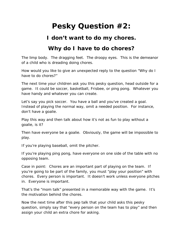# **Pesky Question #2:**

#### **I don't want to do my chores.**

### **Why do I have to do chores?**

The limp body. The dragging feet. The droopy eyes. This is the demeanor of a child who is dreading doing chores.

How would you like to give an unexpected reply to the question "*Why do I have to do chores?"*

The next time your children ask you this pesky question, head outside for a game. It could be soccer, basketball, Frisbee, or ping pong. Whatever you have handy and whatever you can create.

Let's say you pick soccer. You have a ball and you've created a goal. Instead of playing the normal way, omit a needed position. For instance, don't have a goalie.

Play this way and then talk about how it's not as fun to play without a goalie, is it?

Then have everyone be a goalie. Obviously, the game will be impossible to play.

If you're playing baseball, omit the pitcher.

If you're playing ping pong, have everyone on one side of the table with no opposing team.

*Case in point:* Chores are an important part of playing on the team. If you're going to be part of the family, you must "play your position" with chores. Every person is important. It doesn't work unless everyone pitches in. Everyone is important.

That's the "mom talk" presented in a memorable way with the game. It's the motivation behind the chores.

Now the next time after this pep talk that your child asks this pesky question, simply say that "every person on the team has to play" and then assign your child an extra chore for asking.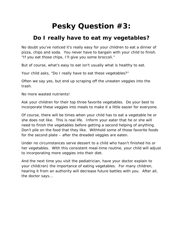# **Pesky Question #3:**

### **Do I really have to eat my vegetables?**

No doubt you've noticed it's really easy for your children to eat a dinner of pizza, chips and soda. You never have to bargain with your child to finish. "If you eat those chips, I'll give you some broccoli."

But of course, what's *easy* to eat isn't usually what is *healthy* to eat.

Your child asks, "*Do I really have to eat these vegetables?"* 

Often we say yes, but end up scraping off the uneaten veggies into the trash.

No more wasted nutrients!

Ask your children for their top three favorite vegetables. Do your best to incorporate these veggies into meals to make it a little easier for everyone.

Of course, there will be times when your child has to eat a vegetable he or she does not like. This is real life. Inform your eater that he or she will need to finish the vegetables before getting a second helping of anything. Don't pile on the food that they like. Withhold some of those favorite foods for the second plate – after the dreaded veggies are eaten.

Under no circumstances serve dessert to a child who hasn't finished his or her vegetables. With this consistent meal-time routine, your child will adjust to incorporating more veggies into their diet.

And the next time you visit the pediatrician, have your doctor explain to your child(ren) the importance of eating vegetables. For many children, hearing it from an authority will decrease future battles with you. After all, the *doctor* says…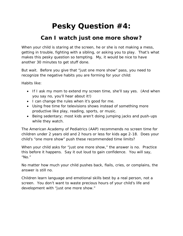# **Pesky Question #4:**

### **Can I watch just one more show?**

When your child is staring at the screen, he or she is not making a mess, getting in trouble, fighting with a sibling, or asking you to play. That's what makes this pesky question so tempting. *My, it would be nice to have another 30 minutes to get stuff done.*

But wait. Before you give that "just one more show" pass, you need to recognize the negative habits you are forming for your child:

Habits like:

- If I ask my mom to extend my screen time, she'll say yes. (And when you say no, you'll hear about it!)
- I can change the rules when it's good for me.
- Using free time for televisions shows instead of something more productive like play, reading, sports, or music.
- Being sedentary; most kids aren't doing jumping jacks and push-ups while they watch.

The American Academy of Pediatrics (AAP) recommends no screen time for children under 2 years old and 2 hours or less for kids age 2-18. Does your child's "one more show" push these recommended time limits?

When your child asks for "just one more show," the answer is no. Practice this before it happens. Say it out loud to gain confidence. You will say, "No."

No matter how much your child pushes back, flails, cries, or complains, the answer is still no.

Children learn language and emotional skills best by a real person, not a screen. You don't want to waste precious hours of your child's life and development with "just one more show."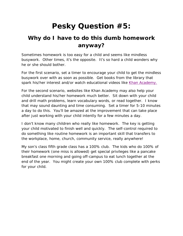# **Pesky Question #5:**

### **Why do I have to do this dumb homework anyway?**

Sometimes homework is too easy for a child and seems like mindless busywork. Other times, it's the opposite. It's so hard a child wonders why he or she should bother.

For the first scenario, set a timer to encourage your child to get the mindless busywork over with as soon as possible. Get books from the library that spark his/her interest and/or watch educational videos like Khan Academy.

For the second scenario, websites like Khan Academy may also help your child understand his/her homework much better. Sit down with your child and drill math problems, learn vocabulary words, or read together. I know that may sound daunting and time consuming. Set a timer for 5-10 minutes a day to do this. You'll be amazed at the improvement that can take place after just working with your child intently for a few minutes a day.

I don't know many children who really *like* homework. The key is getting your child motivated to finish well and quickly. The self-control required to do something like routine homework is an important skill that transfers to the workplace, home, church, community service, really anywhere!

My son's class fifth grade class has a 100% club. The kids who do 100% of their homework (one miss is allowed) get special privileges like a pancake breakfast one morning and going off-campus to eat lunch together at the end of the year. You might create your own 100% club complete with perks for your child.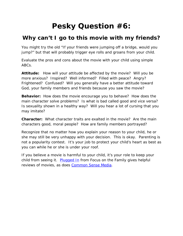# **Pesky Question #6:**

### **Why can't I go to this movie with my friends?**

You might try the old "If your friends were jumping off a bridge, would you jump?" but that will probably trigger eye rolls and groans from your child.

Evaluate the pros and cons about the movie with your child using simple ABCs.

**Attitude:** How will your attitude be affected by the movie? Will you be more anxious? Inspired? Well informed? Filled with peace? Angry? Frightened? Confused? Will you generally have a better attitude toward God, your family members and friends because you saw the movie?

**Behavior:** How does the movie encourage you to behave? How does the main character solve problems? Is what is bad called good and vice versa? Is sexuality shown in a healthy way? Will you hear a lot of cursing that you may imitate?

**Character:** What character traits are exalted in the movie? Are the main characters good, moral people? How are family members portrayed?

Recognize that no matter how you explain your reason to your child, he or she may still be very unhappy with your decision. This is okay. Parenting is not a popularity contest. It's your job to protect your child's heart as best as you can while he or she is under your roof.

If you believe a movie is harmful to your child, it's your role to keep your child from seeing it. [Plugged In](http://www.pluggedin.com/) from Focus on the Family gives helpful reviews of movies, as does [Common Sense Media.](https://www.commonsensemedia.org/)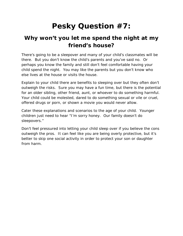# **Pesky Question #7:**

### **Why won't you let me spend the night at my friend's house?**

There's going to be a sleepover and many of your child's classmates will be there. But you don't know the child's parents and you've said no. Or perhaps you know the family and still don't feel comfortable having your child spend the night. You may like the parents but you don't know who else lives at the house or visits the house.

Explain to your child there are benefits to sleeping over but they often don't outweigh the risks. Sure you may have a fun time, but there is the potential for an older sibling, other friend, aunt, or whoever to do something harmful. Your child could be molested, dared to do something sexual or vile or cruel, offered drugs or porn, or shown a movie you would never allow.

Cater these explanations and scenarios to the age of your child. Younger children just need to hear "I'm sorry honey. Our family doesn't do sleepovers."

Don't feel pressured into letting your child sleep over if you believe the cons outweigh the pros. It can feel like you are being overly protective, but it's better to skip one social activity in order to protect your son or daughter from harm.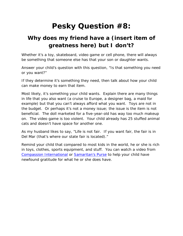# **Pesky Question #8:**

### **Why does my friend have a (insert item of greatness here) but I don't?**

Whether it's a toy, skateboard, video game or cell phone, there will always be something that someone else has that your son or daughter wants.

Answer your child's question with this question, "Is that something you need or you want?"

If they determine it's something they *need*, then talk about how your child can make money to earn that item.

Most likely, it's something your child *wants*. Explain there are many things in life that you also want (a cruise to Europe, a designer bag, a maid for example) but that you can't always afford what you want. Toys are not in the budget. Or perhaps it's not a money issue; the issue is the item is not beneficial. The doll marketed for a five-year-old has way too much makeup on. The video game is too violent. Your child already has 25 stuffed animal cats and doesn't have space for another one.

As my husband likes to say, "Life is not fair. If you want fair, the fair is in Del Mar (that's where our state fair is located)."

Remind your child that compared to most kids in the world, he or she is rich in toys, clothes, sports equipment, and stuff. You can watch a video from [Compassion International](http://www.compassion.com/) or [Samaritan's Purse](http://www.samaritanspurse.org/) to help your child have newfound gratitude for what he or she does have.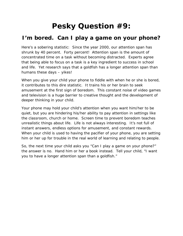# **Pesky Question #9:**

### **I'm bored. Can I play a game on your phone?**

Here's a sobering statistic: Since the year 2000, our attention span has shrunk by 40 percent. Forty percent! Attention span is the amount of concentrated time on a task without becoming distracted. Experts agree that being able to focus on a task is a key ingredient to success in school and life. Yet research says that a goldfish has a longer attention span than humans these days – yikes!

When you give your child your phone to fiddle with when he or she is bored, it contributes to this dire statistic. It trains his or her brain to seek amusement at the first sign of boredom. This constant noise of video games and television is a huge barrier to creative thought and the development of deeper thinking in your child.

Your phone may hold your child's attention when you want him/her to be quiet, but you are hindering his/her ability to *pay* attention in settings like the classroom, church or home. Screen time to prevent boredom teaches unrealistic things about life. Life is not always interesting. It's not full of instant answers, endless options for amusement, and constant rewards. When your child is used to having the pacifier of your phone, you are setting him or her up for trouble in the real world of learning and relating to people.

So, the next time your child asks you "Can I play a game on your phone?" the answer is no. Hand him or her a book instead. Tell your child, "I want you to have a longer attention span than a goldfish."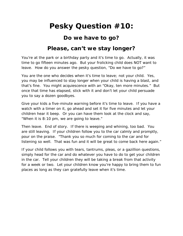### **Pesky Question #10:**

#### **Do we have to go?**

#### **Please, can't we stay longer?**

You're at the park or a birthday party and it's time to go. Actually, it was time to go fifteen minutes ago. But your frolicking child does NOT want to leave. How do you answer the pesky question, "Do we *have* to go?"

You are the one who decides when it's time to leave; not your child. Yes, you may be influenced to stay longer when your child is having a blast, and that's fine. You might acquiescence with an "Okay, ten more minutes." But once that time has elapsed, stick with it and don't let your child persuade you to say a dozen goodbyes.

Give your kids a five-minute warning before it's time to leave. If you have a watch with a timer on it, go ahead and set it for five minutes and let your children hear it beep. Or you can have them look at the clock and say, "When it is 8:10 pm, we are going to leave."

Then leave. End of story. If there is weeping and whining, too bad. You are still leaving. If your children follow you to the car calmly and promptly, pour on the praise. "Thank you so much for coming to the car and for listening so well. That was fun and it will be great to come back here again."

If your child follows you with tears, tantrums, pleas, or a gazillion questions, simply head for the car and do whatever you have to do to get your children in the car. Tell your children they will be taking a break from that activity for a week or two. Let your children know you're happy to bring them to fun places as long as they can gratefully leave when it's time.